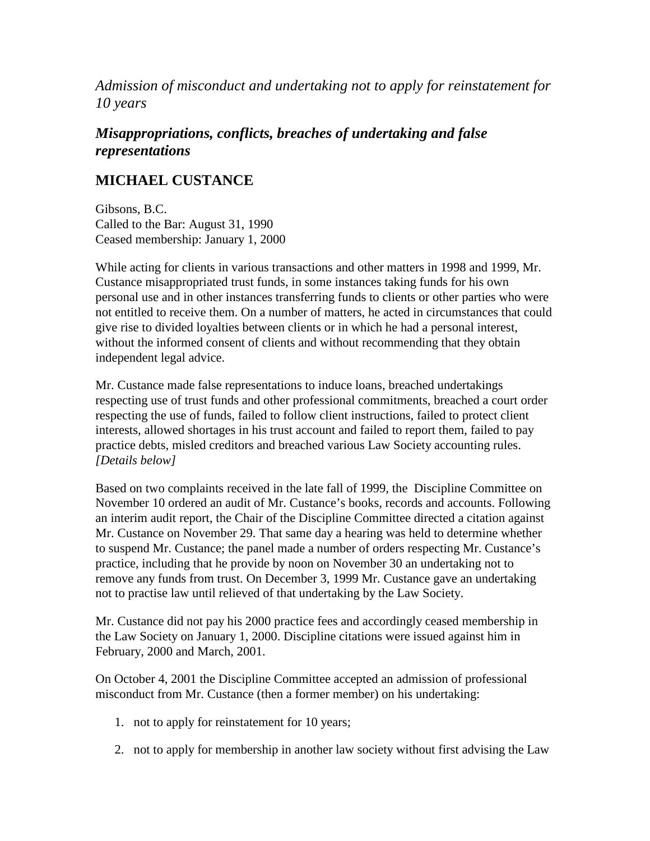*Admission of misconduct and undertaking not to apply for reinstatement for 10 years*

# *Misappropriations, conflicts, breaches of undertaking and false representations*

# **MICHAEL CUSTANCE**

Gibsons, B.C. Called to the Bar: August 31, 1990 Ceased membership: January 1, 2000

While acting for clients in various transactions and other matters in 1998 and 1999, Mr. Custance misappropriated trust funds, in some instances taking funds for his own personal use and in other instances transferring funds to clients or other parties who were not entitled to receive them. On a number of matters, he acted in circumstances that could give rise to divided loyalties between clients or in which he had a personal interest, without the informed consent of clients and without recommending that they obtain independent legal advice.

Mr. Custance made false representations to induce loans, breached undertakings respecting use of trust funds and other professional commitments, breached a court order respecting the use of funds, failed to follow client instructions, failed to protect client interests, allowed shortages in his trust account and failed to report them, failed to pay practice debts, misled creditors and breached various Law Society accounting rules. *[Details below]*

Based on two complaints received in the late fall of 1999, the Discipline Committee on November 10 ordered an audit of Mr. Custance's books, records and accounts. Following an interim audit report, the Chair of the Discipline Committee directed a citation against Mr. Custance on November 29. That same day a hearing was held to determine whether to suspend Mr. Custance; the panel made a number of orders respecting Mr. Custance's practice, including that he provide by noon on November 30 an undertaking not to remove any funds from trust. On December 3, 1999 Mr. Custance gave an undertaking not to practise law until relieved of that undertaking by the Law Society.

Mr. Custance did not pay his 2000 practice fees and accordingly ceased membership in the Law Society on January 1, 2000. Discipline citations were issued against him in February, 2000 and March, 2001.

On October 4, 2001 the Discipline Committee accepted an admission of professional misconduct from Mr. Custance (then a former member) on his undertaking:

- 1. not to apply for reinstatement for 10 years;
- 2. not to apply for membership in another law society without first advising the Law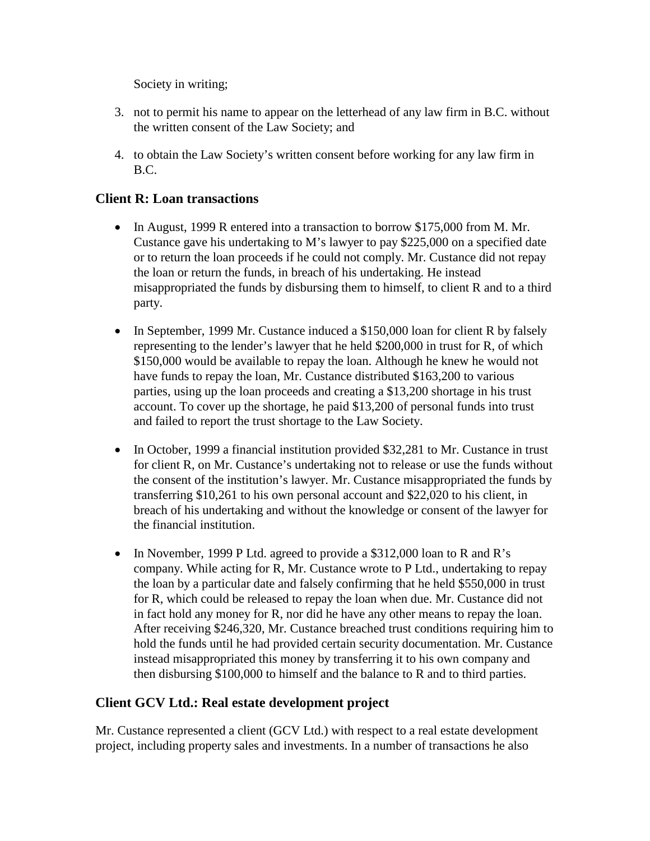Society in writing;

- 3. not to permit his name to appear on the letterhead of any law firm in B.C. without the written consent of the Law Society; and
- 4. to obtain the Law Society's written consent before working for any law firm in B.C.

#### **Client R: Loan transactions**

- In August, 1999 R entered into a transaction to borrow \$175,000 from M. Mr. Custance gave his undertaking to M's lawyer to pay \$225,000 on a specified date or to return the loan proceeds if he could not comply. Mr. Custance did not repay the loan or return the funds, in breach of his undertaking. He instead misappropriated the funds by disbursing them to himself, to client R and to a third party.
- In September, 1999 Mr. Custance induced a \$150,000 loan for client R by falsely representing to the lender's lawyer that he held \$200,000 in trust for R, of which \$150,000 would be available to repay the loan. Although he knew he would not have funds to repay the loan, Mr. Custance distributed \$163,200 to various parties, using up the loan proceeds and creating a \$13,200 shortage in his trust account. To cover up the shortage, he paid \$13,200 of personal funds into trust and failed to report the trust shortage to the Law Society.
- In October, 1999 a financial institution provided \$32,281 to Mr. Custance in trust for client R, on Mr. Custance's undertaking not to release or use the funds without the consent of the institution's lawyer. Mr. Custance misappropriated the funds by transferring \$10,261 to his own personal account and \$22,020 to his client, in breach of his undertaking and without the knowledge or consent of the lawyer for the financial institution.
- In November, 1999 P Ltd. agreed to provide a \$312,000 loan to R and R's company. While acting for R, Mr. Custance wrote to P Ltd., undertaking to repay the loan by a particular date and falsely confirming that he held \$550,000 in trust for R, which could be released to repay the loan when due. Mr. Custance did not in fact hold any money for R, nor did he have any other means to repay the loan. After receiving \$246,320, Mr. Custance breached trust conditions requiring him to hold the funds until he had provided certain security documentation. Mr. Custance instead misappropriated this money by transferring it to his own company and then disbursing \$100,000 to himself and the balance to R and to third parties.

## **Client GCV Ltd.: Real estate development project**

Mr. Custance represented a client (GCV Ltd.) with respect to a real estate development project, including property sales and investments. In a number of transactions he also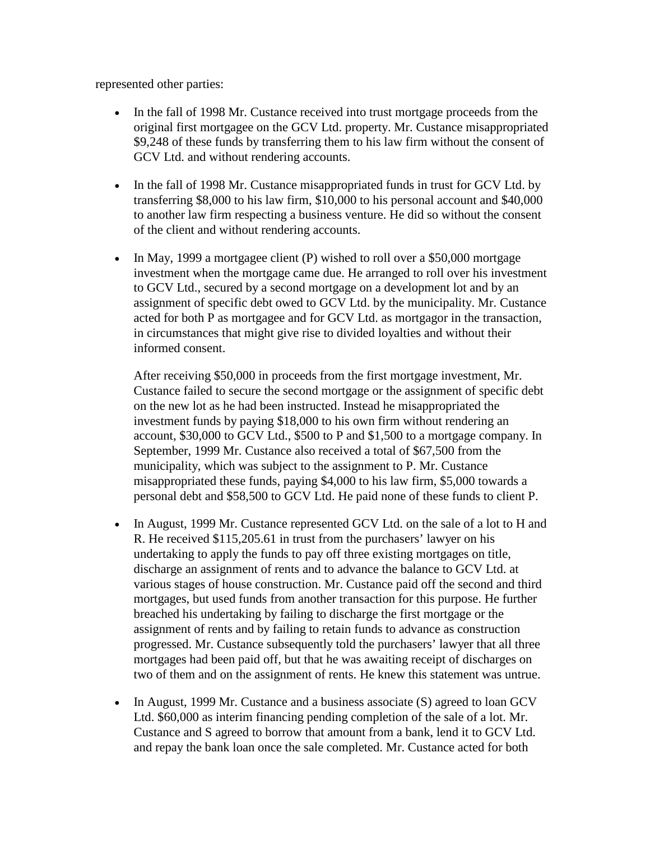represented other parties:

- In the fall of 1998 Mr. Custance received into trust mortgage proceeds from the original first mortgagee on the GCV Ltd. property. Mr. Custance misappropriated \$9,248 of these funds by transferring them to his law firm without the consent of GCV Ltd. and without rendering accounts.
- In the fall of 1998 Mr. Custance misappropriated funds in trust for GCV Ltd. by transferring \$8,000 to his law firm, \$10,000 to his personal account and \$40,000 to another law firm respecting a business venture. He did so without the consent of the client and without rendering accounts.
- In May, 1999 a mortgagee client (P) wished to roll over a \$50,000 mortgage investment when the mortgage came due. He arranged to roll over his investment to GCV Ltd., secured by a second mortgage on a development lot and by an assignment of specific debt owed to GCV Ltd. by the municipality. Mr. Custance acted for both P as mortgagee and for GCV Ltd. as mortgagor in the transaction, in circumstances that might give rise to divided loyalties and without their informed consent.

After receiving \$50,000 in proceeds from the first mortgage investment, Mr. Custance failed to secure the second mortgage or the assignment of specific debt on the new lot as he had been instructed. Instead he misappropriated the investment funds by paying \$18,000 to his own firm without rendering an account, \$30,000 to GCV Ltd., \$500 to P and \$1,500 to a mortgage company. In September, 1999 Mr. Custance also received a total of \$67,500 from the municipality, which was subject to the assignment to P. Mr. Custance misappropriated these funds, paying \$4,000 to his law firm, \$5,000 towards a personal debt and \$58,500 to GCV Ltd. He paid none of these funds to client P.

- In August, 1999 Mr. Custance represented GCV Ltd. on the sale of a lot to H and R. He received \$115,205.61 in trust from the purchasers' lawyer on his undertaking to apply the funds to pay off three existing mortgages on title, discharge an assignment of rents and to advance the balance to GCV Ltd. at various stages of house construction. Mr. Custance paid off the second and third mortgages, but used funds from another transaction for this purpose. He further breached his undertaking by failing to discharge the first mortgage or the assignment of rents and by failing to retain funds to advance as construction progressed. Mr. Custance subsequently told the purchasers' lawyer that all three mortgages had been paid off, but that he was awaiting receipt of discharges on two of them and on the assignment of rents. He knew this statement was untrue.
- In August, 1999 Mr. Custance and a business associate (S) agreed to loan GCV Ltd. \$60,000 as interim financing pending completion of the sale of a lot. Mr. Custance and S agreed to borrow that amount from a bank, lend it to GCV Ltd. and repay the bank loan once the sale completed. Mr. Custance acted for both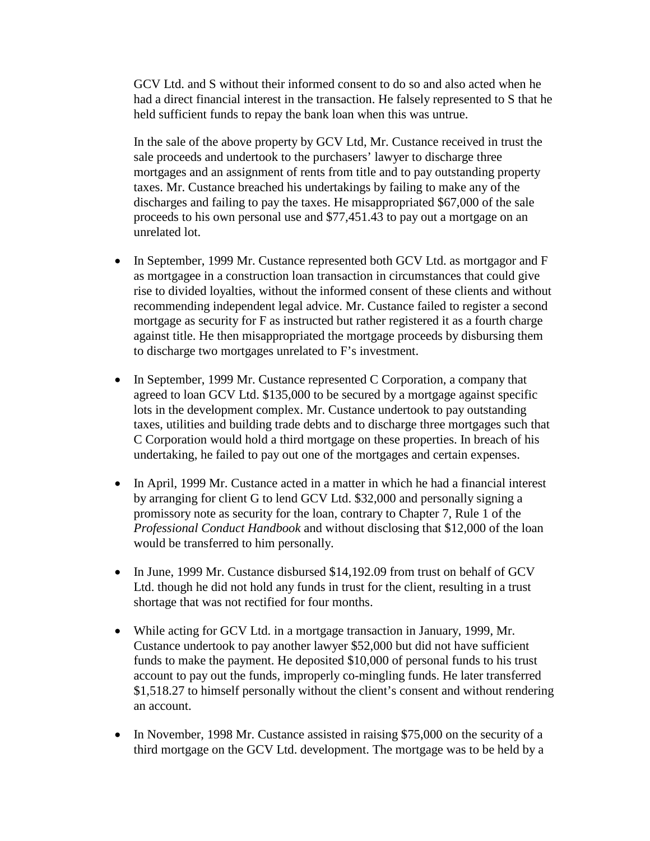GCV Ltd. and S without their informed consent to do so and also acted when he had a direct financial interest in the transaction. He falsely represented to S that he held sufficient funds to repay the bank loan when this was untrue.

In the sale of the above property by GCV Ltd, Mr. Custance received in trust the sale proceeds and undertook to the purchasers' lawyer to discharge three mortgages and an assignment of rents from title and to pay outstanding property taxes. Mr. Custance breached his undertakings by failing to make any of the discharges and failing to pay the taxes. He misappropriated \$67,000 of the sale proceeds to his own personal use and \$77,451.43 to pay out a mortgage on an unrelated lot.

- In September, 1999 Mr. Custance represented both GCV Ltd. as mortgagor and F as mortgagee in a construction loan transaction in circumstances that could give rise to divided loyalties, without the informed consent of these clients and without recommending independent legal advice. Mr. Custance failed to register a second mortgage as security for F as instructed but rather registered it as a fourth charge against title. He then misappropriated the mortgage proceeds by disbursing them to discharge two mortgages unrelated to F's investment.
- In September, 1999 Mr. Custance represented C Corporation, a company that agreed to loan GCV Ltd. \$135,000 to be secured by a mortgage against specific lots in the development complex. Mr. Custance undertook to pay outstanding taxes, utilities and building trade debts and to discharge three mortgages such that C Corporation would hold a third mortgage on these properties. In breach of his undertaking, he failed to pay out one of the mortgages and certain expenses.
- In April, 1999 Mr. Custance acted in a matter in which he had a financial interest by arranging for client G to lend GCV Ltd. \$32,000 and personally signing a promissory note as security for the loan, contrary to Chapter 7, Rule 1 of the *Professional Conduct Handbook* and without disclosing that \$12,000 of the loan would be transferred to him personally.
- In June, 1999 Mr. Custance disbursed \$14,192.09 from trust on behalf of GCV Ltd. though he did not hold any funds in trust for the client, resulting in a trust shortage that was not rectified for four months.
- While acting for GCV Ltd. in a mortgage transaction in January, 1999, Mr. Custance undertook to pay another lawyer \$52,000 but did not have sufficient funds to make the payment. He deposited \$10,000 of personal funds to his trust account to pay out the funds, improperly co-mingling funds. He later transferred \$1,518.27 to himself personally without the client's consent and without rendering an account.
- In November, 1998 Mr. Custance assisted in raising \$75,000 on the security of a third mortgage on the GCV Ltd. development. The mortgage was to be held by a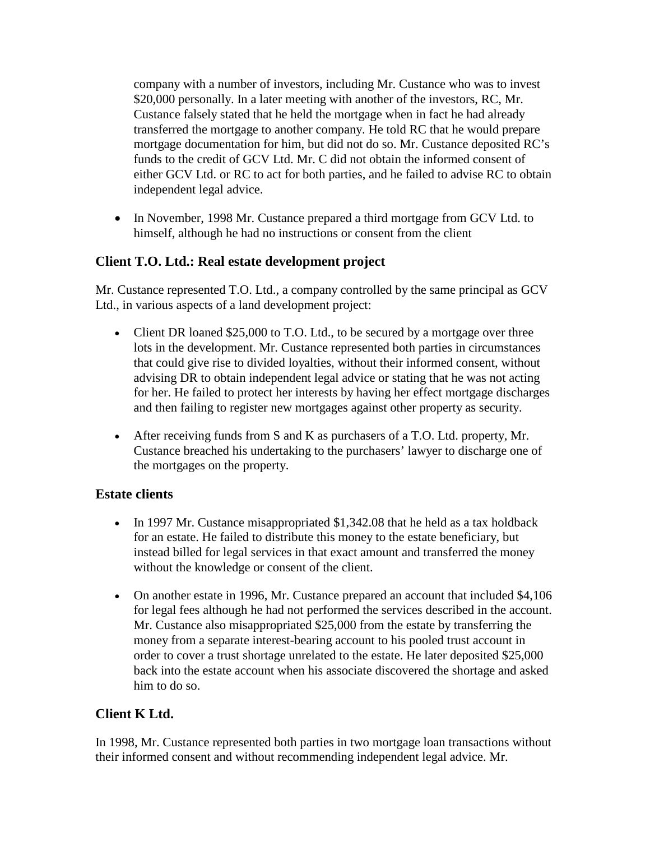company with a number of investors, including Mr. Custance who was to invest \$20,000 personally. In a later meeting with another of the investors, RC, Mr. Custance falsely stated that he held the mortgage when in fact he had already transferred the mortgage to another company. He told RC that he would prepare mortgage documentation for him, but did not do so. Mr. Custance deposited RC's funds to the credit of GCV Ltd. Mr. C did not obtain the informed consent of either GCV Ltd. or RC to act for both parties, and he failed to advise RC to obtain independent legal advice.

• In November, 1998 Mr. Custance prepared a third mortgage from GCV Ltd. to himself, although he had no instructions or consent from the client

## **Client T.O. Ltd.: Real estate development project**

Mr. Custance represented T.O. Ltd., a company controlled by the same principal as GCV Ltd., in various aspects of a land development project:

- Client DR loaned \$25,000 to T.O. Ltd., to be secured by a mortgage over three lots in the development. Mr. Custance represented both parties in circumstances that could give rise to divided loyalties, without their informed consent, without advising DR to obtain independent legal advice or stating that he was not acting for her. He failed to protect her interests by having her effect mortgage discharges and then failing to register new mortgages against other property as security.
- After receiving funds from S and K as purchasers of a T.O. Ltd. property, Mr. Custance breached his undertaking to the purchasers' lawyer to discharge one of the mortgages on the property.

#### **Estate clients**

- In 1997 Mr. Custance misappropriated \$1,342.08 that he held as a tax holdback for an estate. He failed to distribute this money to the estate beneficiary, but instead billed for legal services in that exact amount and transferred the money without the knowledge or consent of the client.
- On another estate in 1996, Mr. Custance prepared an account that included \$4,106 for legal fees although he had not performed the services described in the account. Mr. Custance also misappropriated \$25,000 from the estate by transferring the money from a separate interest-bearing account to his pooled trust account in order to cover a trust shortage unrelated to the estate. He later deposited \$25,000 back into the estate account when his associate discovered the shortage and asked him to do so.

## **Client K Ltd.**

In 1998, Mr. Custance represented both parties in two mortgage loan transactions without their informed consent and without recommending independent legal advice. Mr.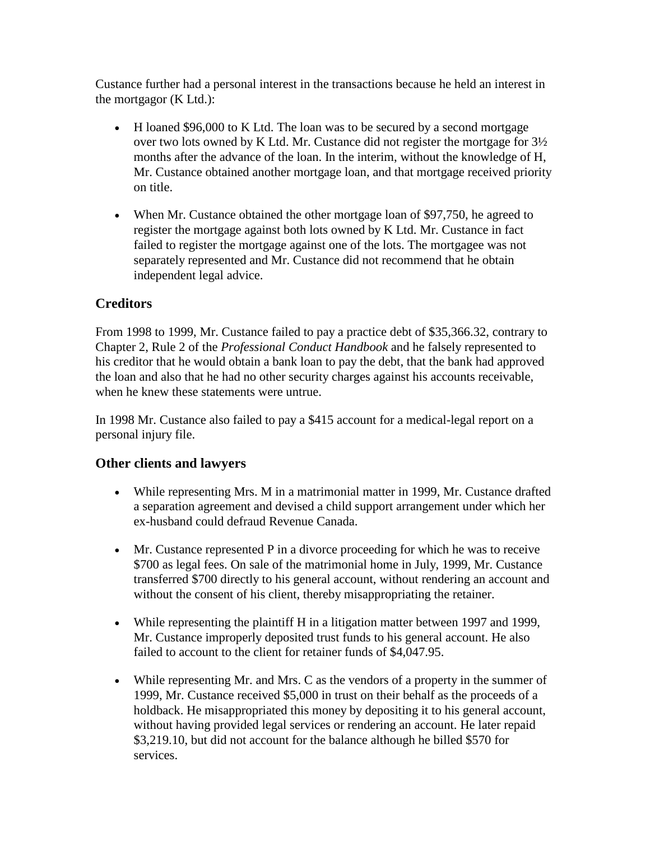Custance further had a personal interest in the transactions because he held an interest in the mortgagor (K Ltd.):

- H loaned \$96,000 to K Ltd. The loan was to be secured by a second mortgage over two lots owned by K Ltd. Mr. Custance did not register the mortgage for 3½ months after the advance of the loan. In the interim, without the knowledge of H, Mr. Custance obtained another mortgage loan, and that mortgage received priority on title.
- When Mr. Custance obtained the other mortgage loan of \$97,750, he agreed to register the mortgage against both lots owned by K Ltd. Mr. Custance in fact failed to register the mortgage against one of the lots. The mortgagee was not separately represented and Mr. Custance did not recommend that he obtain independent legal advice.

## **Creditors**

From 1998 to 1999, Mr. Custance failed to pay a practice debt of \$35,366.32, contrary to Chapter 2, Rule 2 of the *Professional Conduct Handbook* and he falsely represented to his creditor that he would obtain a bank loan to pay the debt, that the bank had approved the loan and also that he had no other security charges against his accounts receivable, when he knew these statements were untrue.

In 1998 Mr. Custance also failed to pay a \$415 account for a medical-legal report on a personal injury file.

## **Other clients and lawyers**

- While representing Mrs. M in a matrimonial matter in 1999, Mr. Custance drafted a separation agreement and devised a child support arrangement under which her ex-husband could defraud Revenue Canada.
- Mr. Custance represented P in a divorce proceeding for which he was to receive \$700 as legal fees. On sale of the matrimonial home in July, 1999, Mr. Custance transferred \$700 directly to his general account, without rendering an account and without the consent of his client, thereby misappropriating the retainer.
- While representing the plaintiff H in a litigation matter between 1997 and 1999, Mr. Custance improperly deposited trust funds to his general account. He also failed to account to the client for retainer funds of \$4,047.95.
- While representing Mr. and Mrs. C as the vendors of a property in the summer of 1999, Mr. Custance received \$5,000 in trust on their behalf as the proceeds of a holdback. He misappropriated this money by depositing it to his general account, without having provided legal services or rendering an account. He later repaid \$3,219.10, but did not account for the balance although he billed \$570 for services.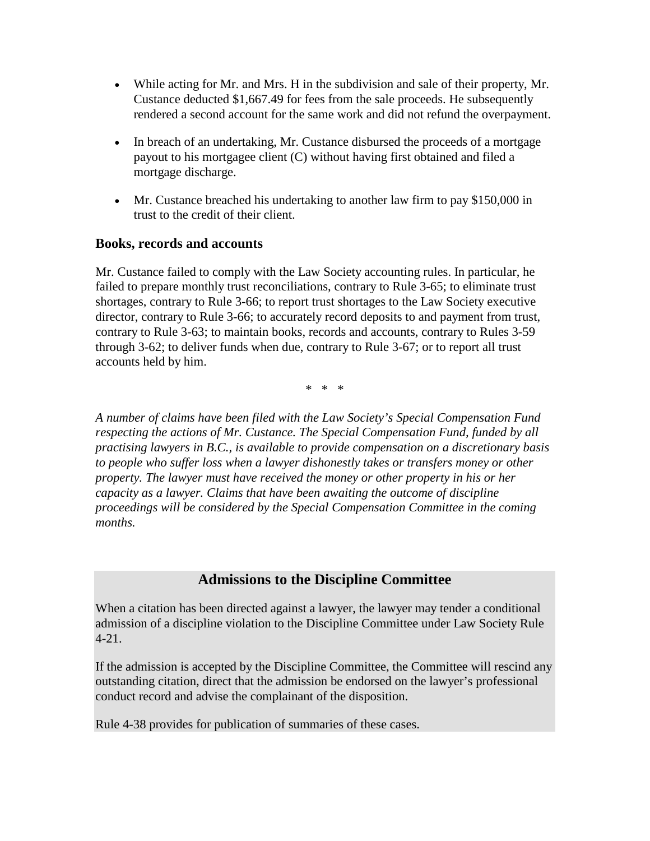- While acting for Mr. and Mrs. H in the subdivision and sale of their property, Mr. Custance deducted \$1,667.49 for fees from the sale proceeds. He subsequently rendered a second account for the same work and did not refund the overpayment.
- In breach of an undertaking, Mr. Custance disbursed the proceeds of a mortgage payout to his mortgagee client (C) without having first obtained and filed a mortgage discharge.
- Mr. Custance breached his undertaking to another law firm to pay \$150,000 in trust to the credit of their client.

#### **Books, records and accounts**

Mr. Custance failed to comply with the Law Society accounting rules. In particular, he failed to prepare monthly trust reconciliations, contrary to Rule 3-65; to eliminate trust shortages, contrary to Rule 3-66; to report trust shortages to the Law Society executive director, contrary to Rule 3-66; to accurately record deposits to and payment from trust, contrary to Rule 3-63; to maintain books, records and accounts, contrary to Rules 3-59 through 3-62; to deliver funds when due, contrary to Rule 3-67; or to report all trust accounts held by him.

\* \* \*

*A number of claims have been filed with the Law Society's Special Compensation Fund respecting the actions of Mr. Custance. The Special Compensation Fund, funded by all practising lawyers in B.C., is available to provide compensation on a discretionary basis to people who suffer loss when a lawyer dishonestly takes or transfers money or other property. The lawyer must have received the money or other property in his or her capacity as a lawyer. Claims that have been awaiting the outcome of discipline proceedings will be considered by the Special Compensation Committee in the coming months.* 

## **Admissions to the Discipline Committee**

When a citation has been directed against a lawyer, the lawyer may tender a conditional admission of a discipline violation to the Discipline Committee under Law Society Rule 4-21.

If the admission is accepted by the Discipline Committee, the Committee will rescind any outstanding citation, direct that the admission be endorsed on the lawyer's professional conduct record and advise the complainant of the disposition.

Rule 4-38 provides for publication of summaries of these cases.